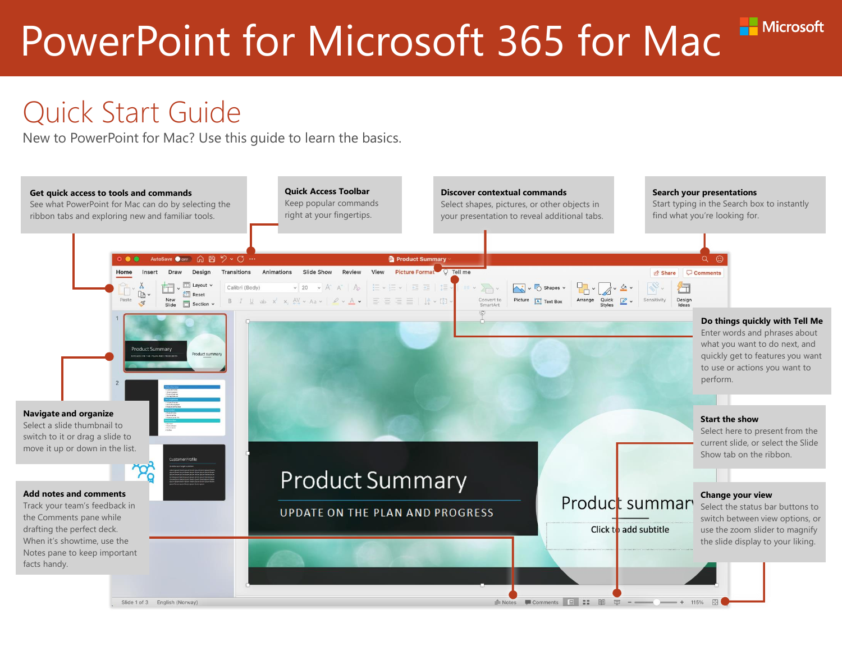Microsoft

#### Quick Start Guide

New to PowerPoint for Mac? Use this guide to learn the basics.

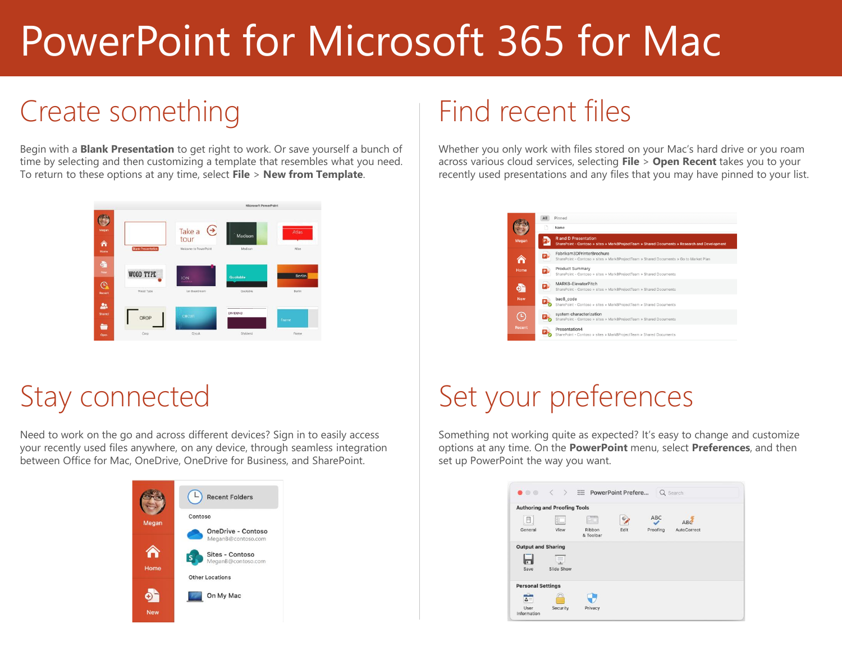# Create something

Begin with a **Blank Presentation** to get right to work. Or save yourself a bunch of time by selecting and then customizing a template that resembles what you need. To return to these options at any time, select **File** > **New from Template**.



### Stay connected

Need to work on the go and across different devices? Sign in to easily access your recently used files anywhere, on any device, through seamless integration between Office for Mac, OneDrive, OneDrive for Business, and SharePoint.



#### Find recent files

Whether you only work with files stored on your Mac's hard drive or you roam across various cloud services, selecting **File** > **Open Recent** takes you to your recently used presentations and any files that you may have pinned to your list.



# Set your preferences

Something not working quite as expected? It's easy to change and customize options at any time. On the **PowerPoint** menu, select **Preferences**, and then set up PowerPoint the way you want.

|                           | <b>Authoring and Proofing Tools</b> |                     |      |          |             |
|---------------------------|-------------------------------------|---------------------|------|----------|-------------|
| 肩                         |                                     |                     |      | ABC      | ABO         |
| General                   | <b>View</b>                         | Ribbon<br>& Toolbar | Edit | Proofing | AutoCorrect |
| <b>Output and Sharing</b> |                                     |                     |      |          |             |
|                           | 旱                                   |                     |      |          |             |
| Save                      | Slide Show                          |                     |      |          |             |
| <b>Personal Settings</b>  |                                     |                     |      |          |             |
| $2 -$                     |                                     |                     |      |          |             |
| User                      | Security                            | Privacy             |      |          |             |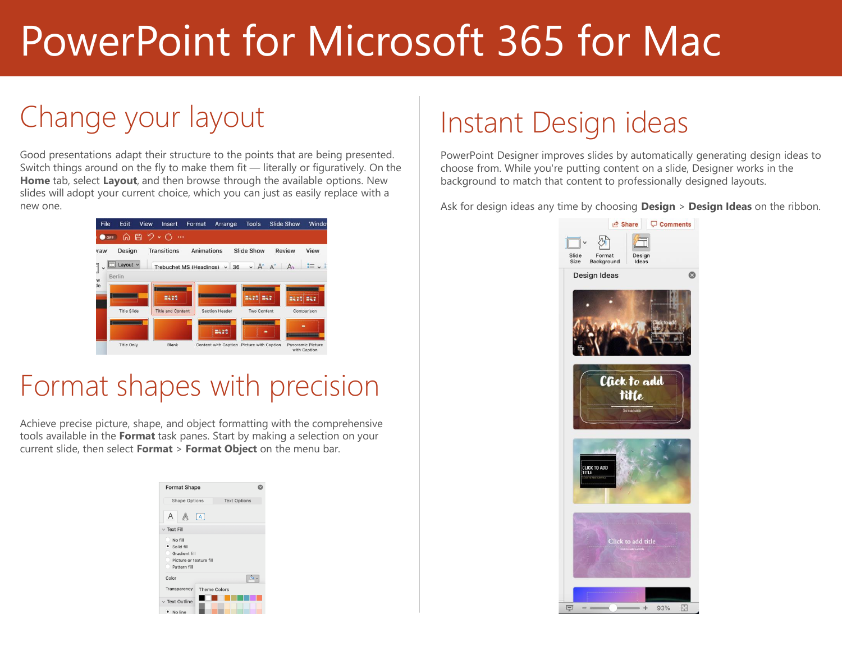# Change your layout

Good presentations adapt their structure to the points that are being presented. Switch things around on the fly to make them fit — literally or figuratively. On the **Home** tab, select **Layout**, and then browse through the available options. New slides will adopt your current choice, which you can just as easily replace with a new one.



#### Format shapes with precision

Achieve precise picture, shape, and object formatting with the comprehensive tools available in the **Format** task panes. Start by making a selection on your current slide, then select **Format** > **Format Object** on the menu bar.

| <b>Format Shape</b>                                                                        |                     |  |  |  |  |
|--------------------------------------------------------------------------------------------|---------------------|--|--|--|--|
| <b>Shape Options</b>                                                                       | <b>Text Options</b> |  |  |  |  |
| А                                                                                          | $\overline{[A]}$    |  |  |  |  |
| $\vee$ Text Fill                                                                           |                     |  |  |  |  |
| No fill<br>· Solid fill<br><b>Gradient fill</b><br>Picture or texture fill<br>Pattern fill |                     |  |  |  |  |
| Color                                                                                      |                     |  |  |  |  |
| Transparency                                                                               | <b>Theme Colors</b> |  |  |  |  |
| $\vee$ Text Outline<br>· No line                                                           |                     |  |  |  |  |

# Instant Design ideas

PowerPoint Designer improves slides by automatically generating design ideas to choose from. While you're putting content on a slide, Designer works in the background to match that content to professionally designed layouts.

Ask for design ideas any time by choosing **Design** > **Design Ideas** on the ribbon.